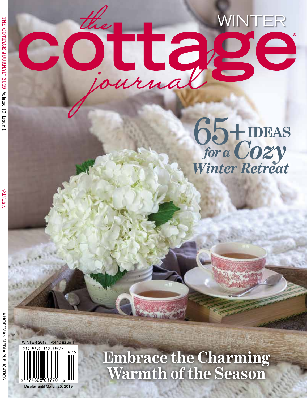## COULASE

65**+IDEAS** *for aCozy Winter Retreat*



**Embrace the Charming Warmth of the Season**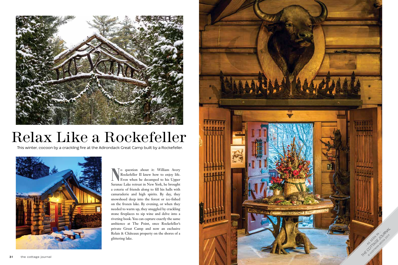o question about it: William Avery Rockefeller II knew how to enjoy life. Even when he decamped to his Upper Saranac Lake retreat in New York, he brought a coterie of friends along to fill his halls with camaraderie and high spirits. By day, they snowshoed deep into the forest or ice-fished on the frozen lake. By evening, or when they needed to warm up, they snuggled by crackling stone fireplaces to sip wine and delve into a riveting book. You can capture exactly the same ambience at The Point, once Rockefeller's private Great Camp and now an exclusive Relais & Châteaux property on the shores of a glittering lake.





## Relax Like a Rockefeller

This winter, cocoon by a crackling fire at the Adirondack Great Camp built by a Rockefeller.

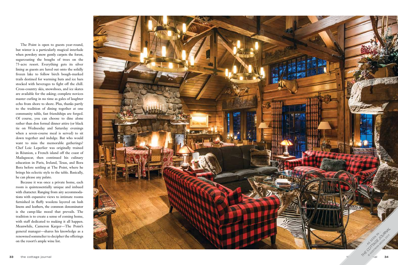The Point is open to guests year-round, but winter is a particularly magical interlude when powdery snow gently carpets the forest, sugarcoating the boughs of trees on the 75-acre resort. Everything gets its silver lining as guests are lured out onto the solidly frozen lake to follow birch bough-marked trails destined for warming huts and ice bars stocked with beverages to fight off the chill. Cross-country skis, snowshoes, and ice skates are available for the asking; complete novices master curling in no time as gales of laughter echo from shore to shore. Plus, thanks partly to the tradition of dining together at one community table, fast friendships are forged. Of course, you can choose to dine alone rather than don formal dinner attire (or black tie on Wednesday and Saturday evenings when a seven-course meal is served) to sit down together and indulge. But who would want to miss the memorable gatherings? Chef Loic Leperlier was originally trained in Réunion, a French island off the coast of Madagascar, then continued his culinary education in Paris, Ireland, Texas, and Bora Bora before settling at The Point, where he brings his eclectic style to the table. Basically, he can please any palate.



Because it was once a private home, each room is quintessentially unique and imbued with character. Ranging from airy accommoda tions with expansive views to intimate rooms furnished in fluffy woolens layered on lush linens and leathers, the common denominator is the camp-like mood that prevails. The tradition is to create a sense of coming home, with staff dedicated to making it all happen. Meanwhile, Cameron Karger—The Point's general manager—shares his knowledge as a renowned sommelier to decipher the offerings on the resort's ample wine list.